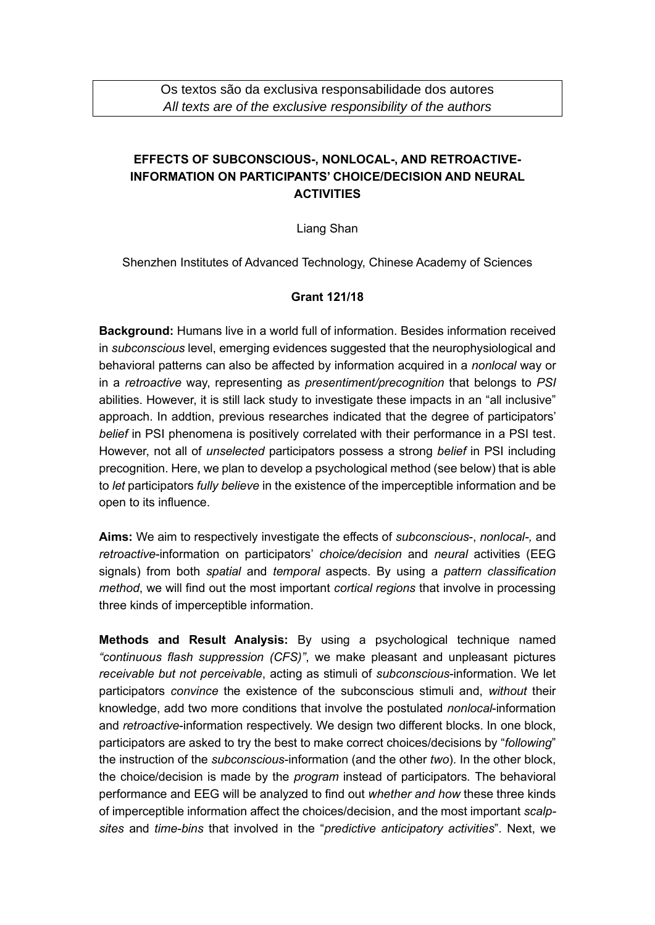## **EFFECTS OF SUBCONSCIOUS-, NONLOCAL-, AND RETROACTIVE-INFORMATION ON PARTICIPANTS' CHOICE/DECISION AND NEURAL ACTIVITIES**

Liang Shan

Shenzhen Institutes of Advanced Technology, Chinese Academy of Sciences

## **Grant 121/18**

**Background:** Humans live in a world full of information. Besides information received in *subconscious* level, emerging evidences suggested that the neurophysiological and behavioral patterns can also be affected by information acquired in a *nonlocal* way or in a *retroactive* way, representing as *presentiment/precognition* that belongs to *PSI*  abilities. However, it is still lack study to investigate these impacts in an "all inclusive" approach. In addtion, previous researches indicated that the degree of participators' *belief* in PSI phenomena is positively correlated with their performance in a PSI test. However, not all of *unselected* participators possess a strong *belief* in PSI including precognition. Here, we plan to develop a psychological method (see below) that is able to *let* participators *fully believe* in the existence of the imperceptible information and be open to its influence.

**Aims:** We aim to respectively investigate the effects of *subconscious*-, *nonlocal-,* and *retroactive*-information on participators' *choice/decision* and *neural* activities (EEG signals) from both *spatial* and *temporal* aspects. By using a *pattern classification method*, we will find out the most important *cortical regions* that involve in processing three kinds of imperceptible information.

**Methods and Result Analysis:** By using a psychological technique named *"continuous flash suppression (CFS)"*, we make pleasant and unpleasant pictures *receivable but not perceivable*, acting as stimuli of *subconscious*-information. We let participators *convince* the existence of the subconscious stimuli and, *without* their knowledge, add two more conditions that involve the postulated *nonlocal*-information and *retroactive*-information respectively. We design two different blocks. In one block, participators are asked to try the best to make correct choices/decisions by "*following*" the instruction of the *subconscious*-information (and the other *two*). In the other block, the choice/decision is made by the *program* instead of participators*.* The behavioral performance and EEG will be analyzed to find out *whether and how* these three kinds of imperceptible information affect the choices/decision, and the most important *scalpsites* and *time-bins* that involved in the "*predictive anticipatory activities*". Next, we